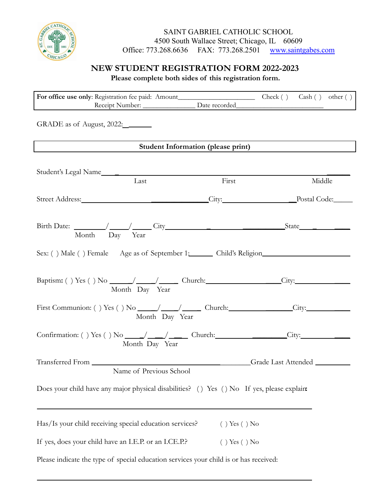

SAINT GABRIEL CATHOLIC SCHOOL 4500 South Wallace Street; Chicago, IL 60609<br>
13.268.6636 FAX: 773.268.2501 www.saintgabes.com Office: 773.268.6636 FAX: 773.268.2501

## **NEW STUDENT REGISTRATION FORM 2022-2023**

**Please complete both sides of this registration form.**

| GRADE as of August, 2022:                                                                            |                                           |        |
|------------------------------------------------------------------------------------------------------|-------------------------------------------|--------|
|                                                                                                      | <b>Student Information (please print)</b> |        |
|                                                                                                      |                                           |        |
| Student's Legal Name                                                                                 |                                           |        |
| Last                                                                                                 | First                                     | Middle |
|                                                                                                      |                                           |        |
| Street Address: City: City: City: Postal Code:                                                       |                                           |        |
|                                                                                                      |                                           |        |
|                                                                                                      |                                           |        |
| Month Day Year                                                                                       |                                           |        |
|                                                                                                      |                                           |        |
| Sex: () Male () Female Age as of September 1: Child's Religion                                       |                                           |        |
|                                                                                                      |                                           |        |
|                                                                                                      |                                           |        |
| Month Day Year                                                                                       |                                           |        |
|                                                                                                      |                                           |        |
| First Communion: () Yes () No _____/ _____/ ______ Church: ________________City: ___________________ |                                           |        |
|                                                                                                      | Month Day Year                            |        |
|                                                                                                      |                                           |        |
| Month Day Year                                                                                       |                                           |        |
|                                                                                                      |                                           |        |
|                                                                                                      | Crade Last Attended                       |        |
| Name of Previous School                                                                              |                                           |        |
|                                                                                                      |                                           |        |
| Does your child have any major physical disabilities? () Yes () No If yes, please explain:           |                                           |        |
|                                                                                                      |                                           |        |
|                                                                                                      |                                           |        |
| Has/Is your child receiving special education services?                                              | $( )$ Yes $( )$ No                        |        |
|                                                                                                      |                                           |        |
| If yes, does your child have an I.E.P. or an I.CE.P.?                                                | $( )$ Yes $( )$ No                        |        |
| Please indicate the type of special education services your child is or has received:                |                                           |        |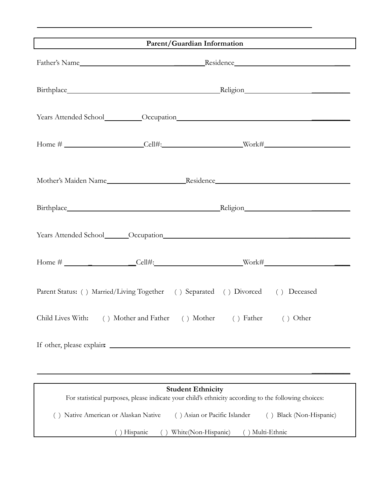| Parent/Guardian Information                                                                                                      |                                                                     |                              |                         |  |
|----------------------------------------------------------------------------------------------------------------------------------|---------------------------------------------------------------------|------------------------------|-------------------------|--|
|                                                                                                                                  |                                                                     |                              |                         |  |
|                                                                                                                                  |                                                                     |                              |                         |  |
|                                                                                                                                  |                                                                     |                              |                         |  |
|                                                                                                                                  |                                                                     |                              |                         |  |
|                                                                                                                                  |                                                                     |                              |                         |  |
|                                                                                                                                  |                                                                     |                              |                         |  |
|                                                                                                                                  |                                                                     |                              |                         |  |
|                                                                                                                                  |                                                                     |                              |                         |  |
| Parent Status: () Married/Living Together () Separated () Divorced () Deceased                                                   |                                                                     |                              |                         |  |
|                                                                                                                                  | Child Lives With: () Mother and Father () Mother () Father () Other |                              |                         |  |
|                                                                                                                                  |                                                                     |                              |                         |  |
|                                                                                                                                  |                                                                     |                              |                         |  |
| <b>Student Ethnicity</b><br>For statistical purposes, please indicate your child's ethnicity according to the following choices: |                                                                     |                              |                         |  |
|                                                                                                                                  | Native American or Alaskan Native                                   | () Asian or Pacific Islander | () Black (Non-Hispanic) |  |
| White(Non-Hispanic)<br>() Multi-Ethnic<br>() Hispanic                                                                            |                                                                     |                              |                         |  |
|                                                                                                                                  |                                                                     |                              |                         |  |